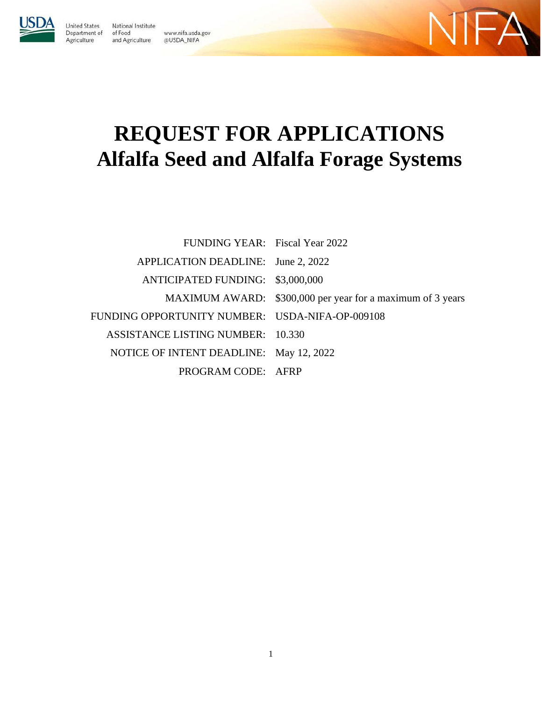

United States

Agriculture

National Institute Department of of Food and Agriculture

www.nifa.usda.gov @USDA\_NIFA



# **REQUEST FOR APPLICATIONS Alfalfa Seed and Alfalfa Forage Systems**

| FUNDING YEAR: Fiscal Year 2022                  |                                                            |
|-------------------------------------------------|------------------------------------------------------------|
| APPLICATION DEADLINE: June 2, 2022              |                                                            |
| ANTICIPATED FUNDING: \$3,000,000                |                                                            |
|                                                 | MAXIMUM AWARD: \$300,000 per year for a maximum of 3 years |
| FUNDING OPPORTUNITY NUMBER: USDA-NIFA-OP-009108 |                                                            |
| ASSISTANCE LISTING NUMBER: 10.330               |                                                            |
| NOTICE OF INTENT DEADLINE: May 12, 2022         |                                                            |
| PROGRAM CODE: AFRP                              |                                                            |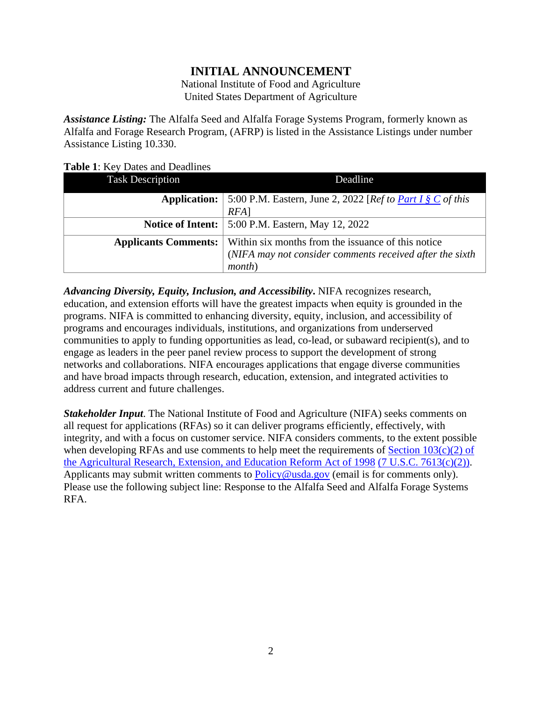# **INITIAL ANNOUNCEMENT**

National Institute of Food and Agriculture United States Department of Agriculture

*Assistance Listing:* The Alfalfa Seed and Alfalfa Forage Systems Program, formerly known as Alfalfa and Forage Research Program, (AFRP) is listed in the Assistance Listings under number Assistance Listing 10.330.

#### <span id="page-1-1"></span>**Table 1**: Key Dates and Deadlines

| <b>Task Description</b>     | Deadline                                                                  |
|-----------------------------|---------------------------------------------------------------------------|
| <b>Application:</b>         | 5:00 P.M. Eastern, June 2, 2022 [ <i>Ref to <u>Part I § C</u> of this</i> |
|                             | $RFA$ ]                                                                   |
|                             | <b>Notice of Intent:</b>   5:00 P.M. Eastern, May 12, 2022                |
| <b>Applicants Comments:</b> | Within six months from the issuance of this notice                        |
|                             | (NIFA may not consider comments received after the sixth                  |
|                             | month)                                                                    |

*Advancing Diversity, Equity, Inclusion, and Accessibility***.** NIFA recognizes research, education, and extension efforts will have the greatest impacts when equity is grounded in the programs. NIFA is committed to enhancing diversity, equity, inclusion, and accessibility of programs and encourages individuals, institutions, and organizations from underserved communities to apply to funding opportunities as lead, co-lead, or subaward recipient(s), and to engage as leaders in the peer panel review process to support the development of strong networks and collaborations. NIFA encourages applications that engage diverse communities and have broad impacts through research, education, extension, and integrated activities to address current and future challenges.

<span id="page-1-0"></span>*Stakeholder Input*. The National Institute of Food and Agriculture (NIFA) seeks comments on all request for applications (RFAs) so it can deliver programs efficiently, effectively, with integrity, and with a focus on customer service. NIFA considers comments, to the extent possible when developing RFAs and use comments to help meet the requirements of Section  $103(c)(2)$  of [the Agricultural Research, Extension, and Education Reform Act of 1998](https://nifa.usda.gov/resource/agricultural-research-extension-and-education-reform-act-1998) [\(7 U.S.C. 7613\(c\)\(2\)\).](https://uscode.house.gov/view.xhtml?req=(title:7%20section:7613%20edition:prelim)%20OR%20(granuleid:USC-prelim-title7-section7613)&f=treesort&edition=prelim&num=0&jumpTo=true) Applicants may submit written comments to [Policy@usda.gov](mailto:Policy@usda.gov) (email is for comments only). Please use the following subject line: Response to the Alfalfa Seed and Alfalfa Forage Systems RFA.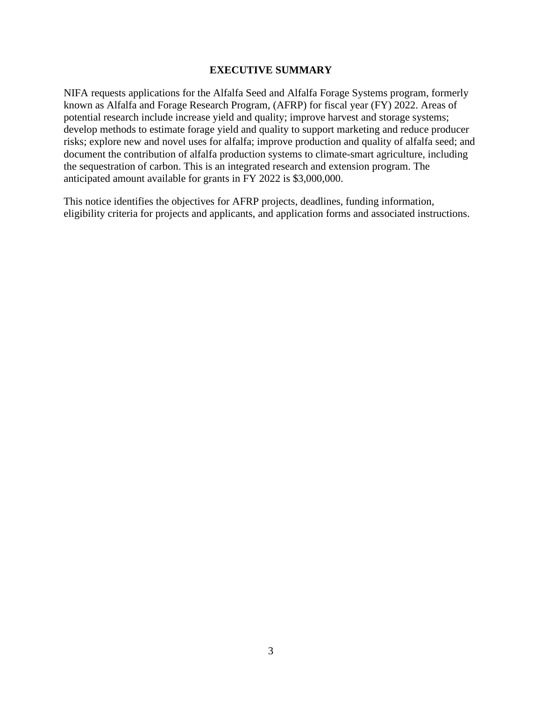#### **EXECUTIVE SUMMARY**

NIFA requests applications for the Alfalfa Seed and Alfalfa Forage Systems program, formerly known as Alfalfa and Forage Research Program, (AFRP) for fiscal year (FY) 2022. Areas of potential research include increase yield and quality; improve harvest and storage systems; develop methods to estimate forage yield and quality to support marketing and reduce producer risks; explore new and novel uses for alfalfa; improve production and quality of alfalfa seed; and document the contribution of alfalfa production systems to climate-smart agriculture, including the sequestration of carbon. This is an integrated research and extension program. The anticipated amount available for grants in FY 2022 is \$3,000,000.

This notice identifies the objectives for AFRP projects, deadlines, funding information, eligibility criteria for projects and applicants, and application forms and associated instructions.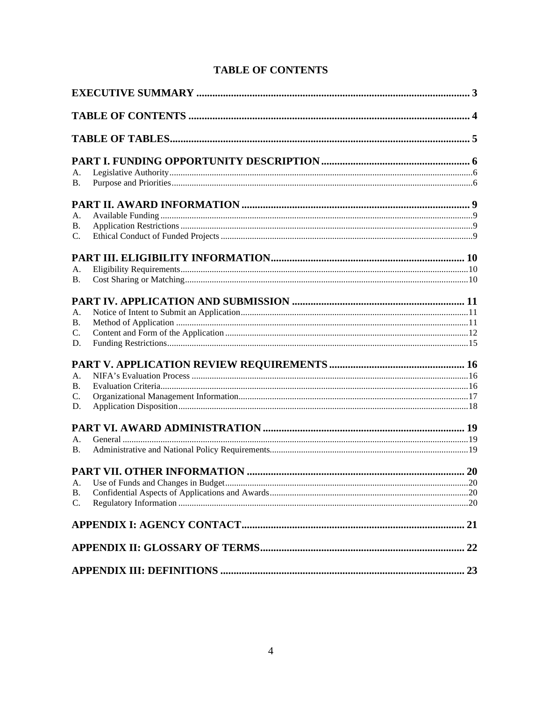<span id="page-3-0"></span>

| А.              |  |
|-----------------|--|
| В.              |  |
|                 |  |
| А.              |  |
| В.              |  |
| $\mathcal{C}$ . |  |
|                 |  |
| А.              |  |
| В.              |  |
|                 |  |
| A.              |  |
| В.              |  |
| C.              |  |
| D.              |  |
|                 |  |
| A.              |  |
| В.              |  |
| C.              |  |
| D.              |  |
|                 |  |
| A.              |  |
| B.              |  |
|                 |  |
| A.              |  |
| <b>B.</b>       |  |
| C.              |  |
|                 |  |
|                 |  |
|                 |  |

# <span id="page-3-1"></span>**TABLE OF CONTENTS**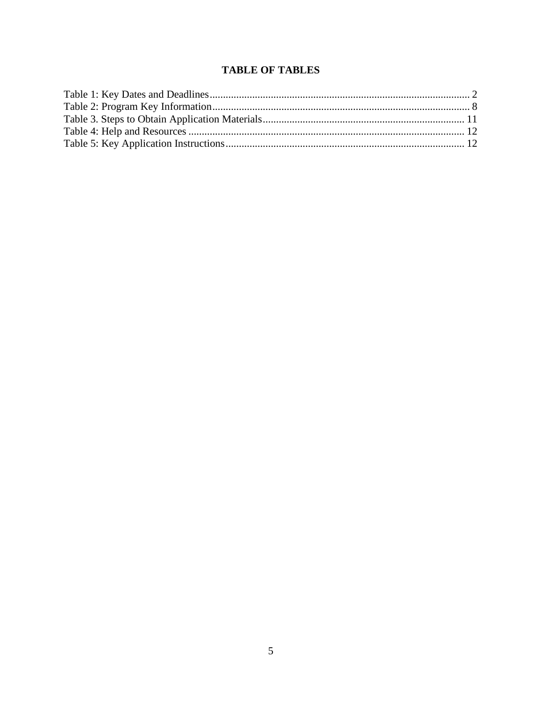# **TABLE OF TABLES**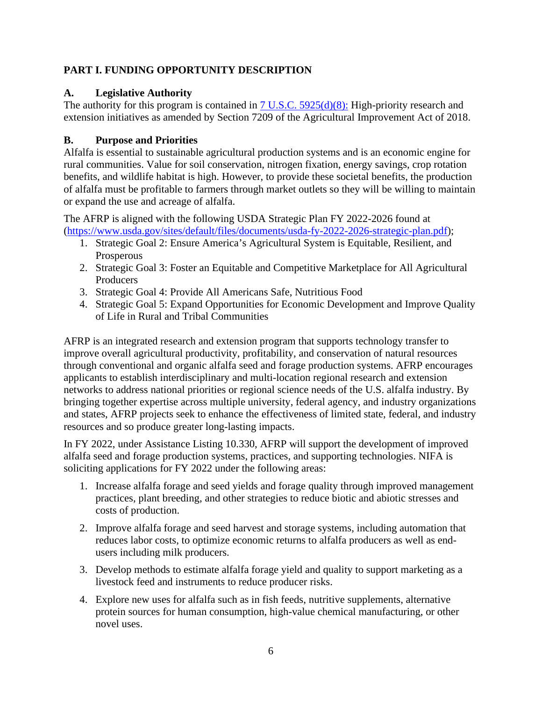## <span id="page-5-0"></span>**PART I. FUNDING OPPORTUNITY DESCRIPTION**

## <span id="page-5-1"></span>**A. Legislative Authority**

The authority for this program is contained in  $7 \text{ U.S.C. } 5925\text{ (d)}\text{ (8)}$ : High-priority research and extension initiatives as amended by Section 7209 of the Agricultural Improvement Act of 2018.

## <span id="page-5-2"></span>**B. Purpose and Priorities**

Alfalfa is essential to sustainable agricultural production systems and is an economic engine for rural communities. Value for soil conservation, nitrogen fixation, energy savings, crop rotation benefits, and wildlife habitat is high. However, to provide these societal benefits, the production of alfalfa must be profitable to farmers through market outlets so they will be willing to maintain or expand the use and acreage of alfalfa.

The AFRP is aligned with the following USDA Strategic Plan FY 2022-2026 found at [\(https://www.usda.gov/sites/default/files/documents/usda-fy-2022-2026-strategic-plan.pdf\)](https://www.usda.gov/sites/default/files/documents/usda-fy-2022-2026-strategic-plan.pdf);

- 1. Strategic Goal 2: Ensure America's Agricultural System is Equitable, Resilient, and Prosperous
- 2. Strategic Goal 3: Foster an Equitable and Competitive Marketplace for All Agricultural Producers
- 3. Strategic Goal 4: Provide All Americans Safe, Nutritious Food
- 4. Strategic Goal 5: Expand Opportunities for Economic Development and Improve Quality of Life in Rural and Tribal Communities

AFRP is an integrated research and extension program that supports technology transfer to improve overall agricultural productivity, profitability, and conservation of natural resources through conventional and organic alfalfa seed and forage production systems. AFRP encourages applicants to establish interdisciplinary and multi-location regional research and extension networks to address national priorities or regional science needs of the U.S. alfalfa industry. By bringing together expertise across multiple university, federal agency, and industry organizations and states, AFRP projects seek to enhance the effectiveness of limited state, federal, and industry resources and so produce greater long-lasting impacts.

In FY 2022, under Assistance Listing 10.330, AFRP will support the development of improved alfalfa seed and forage production systems, practices, and supporting technologies. NIFA is soliciting applications for FY 2022 under the following areas:

- 1. Increase alfalfa forage and seed yields and forage quality through improved management practices, plant breeding, and other strategies to reduce biotic and abiotic stresses and costs of production.
- 2. Improve alfalfa forage and seed harvest and storage systems, including automation that reduces labor costs, to optimize economic returns to alfalfa producers as well as endusers including milk producers.
- 3. Develop methods to estimate alfalfa forage yield and quality to support marketing as a livestock feed and instruments to reduce producer risks.
- 4. Explore new uses for alfalfa such as in fish feeds, nutritive supplements, alternative protein sources for human consumption, high-value chemical manufacturing, or other novel uses.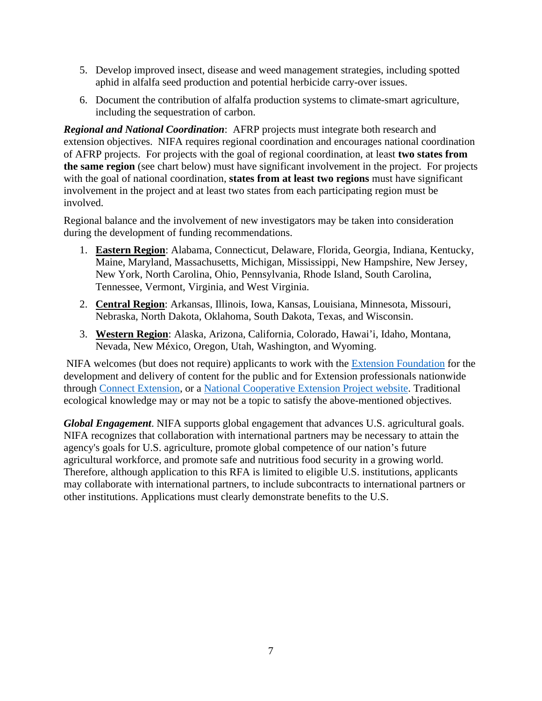- 5. Develop improved insect, disease and weed management strategies, including spotted aphid in alfalfa seed production and potential herbicide carry-over issues.
- 6. Document the contribution of alfalfa production systems to climate-smart agriculture, including the sequestration of carbon.

*Regional and National Coordination*: AFRP projects must integrate both research and extension objectives. NIFA requires regional coordination and encourages national coordination of AFRP projects. For projects with the goal of regional coordination, at least **two states from the same region** (see chart below) must have significant involvement in the project. For projects with the goal of national coordination, **states from at least two regions** must have significant involvement in the project and at least two states from each participating region must be involved.

Regional balance and the involvement of new investigators may be taken into consideration during the development of funding recommendations.

- 1. **Eastern Region**: Alabama, Connecticut, Delaware, Florida, Georgia, Indiana, Kentucky, Maine, Maryland, Massachusetts, Michigan, Mississippi, New Hampshire, New Jersey, New York, North Carolina, Ohio, Pennsylvania, Rhode Island, South Carolina, Tennessee, Vermont, Virginia, and West Virginia.
- 2. **Central Region**: Arkansas, Illinois, Iowa, Kansas, Louisiana, Minnesota, Missouri, Nebraska, North Dakota, Oklahoma, South Dakota, Texas, and Wisconsin.
- 3. **Western Region**: Alaska, Arizona, California, Colorado, Hawai'i, Idaho, Montana, Nevada, New México, Oregon, Utah, Washington, and Wyoming.

 NIFA welcomes (but does not require) applicants to work with the [Extension Foundation](https://gcc02.safelinks.protection.outlook.com/?url=http%3A%2F%2Fextension.org%2F&data=04%7C01%7C%7Ca20ab3b70b594250729308d9b8d16d39%7Ced5b36e701ee4ebc867ee03cfa0d4697%7C0%7C0%7C637744031880128218%7CUnknown%7CTWFpbGZsb3d8eyJWIjoiMC4wLjAwMDAiLCJQIjoiV2luMzIiLCJBTiI6Ik1haWwiLCJXVCI6Mn0%3D%7C3000&sdata=O1FPITwYnPL9bUoa6KlWT3HGCAodXoe4WabAWYMPwUs%3D&reserved=0) for the development and delivery of content for the public and for Extension professionals nationwide through [Connect Extension,](https://gcc02.safelinks.protection.outlook.com/?url=http%3A%2F%2Fconnect.extension.org%2F&data=04%7C01%7C%7Ca20ab3b70b594250729308d9b8d16d39%7Ced5b36e701ee4ebc867ee03cfa0d4697%7C0%7C0%7C637744031880128218%7CUnknown%7CTWFpbGZsb3d8eyJWIjoiMC4wLjAwMDAiLCJQIjoiV2luMzIiLCJBTiI6Ik1haWwiLCJXVCI6Mn0%3D%7C3000&sdata=BvJWf0GqWsEOZBxeTIFyE0pVGEuxR95tkXzOccIQKeA%3D&reserved=0) or a [National Cooperative Extension Project website.](https://gcc02.safelinks.protection.outlook.com/?url=https%3A%2F%2Fextension.org%2Fnational-cooperative-extension-projects%2F&data=04%7C01%7C%7Ca20ab3b70b594250729308d9b8d16d39%7Ced5b36e701ee4ebc867ee03cfa0d4697%7C0%7C0%7C637744031880128218%7CUnknown%7CTWFpbGZsb3d8eyJWIjoiMC4wLjAwMDAiLCJQIjoiV2luMzIiLCJBTiI6Ik1haWwiLCJXVCI6Mn0%3D%7C3000&sdata=%2BNLyg2ocosC8NESorX3VwJSeDDNnw9IturIgC2JMlNk%3D&reserved=0) Traditional ecological knowledge may or may not be a topic to satisfy the above-mentioned objectives.

*Global Engagement*. NIFA supports global engagement that advances U.S. agricultural goals. NIFA recognizes that collaboration with international partners may be necessary to attain the agency's goals for U.S. agriculture, promote global competence of our nation's future agricultural workforce, and promote safe and nutritious food security in a growing world. Therefore, although application to this RFA is limited to eligible U.S. institutions, applicants may collaborate with international partners, to include subcontracts to international partners or other institutions. Applications must clearly demonstrate benefits to the U.S.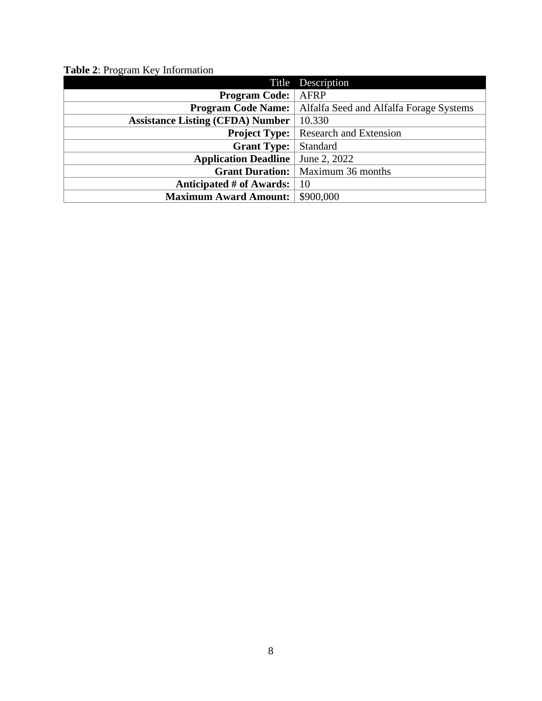<span id="page-7-1"></span><span id="page-7-0"></span>

|                                         | Title Description                       |
|-----------------------------------------|-----------------------------------------|
| <b>Program Code:</b>                    | <b>AFRP</b>                             |
| <b>Program Code Name:</b>               | Alfalfa Seed and Alfalfa Forage Systems |
| <b>Assistance Listing (CFDA) Number</b> | 10.330                                  |
| <b>Project Type:</b>                    | <b>Research and Extension</b>           |
| <b>Grant Type:</b>                      | Standard                                |
| <b>Application Deadline</b>             | June 2, 2022                            |
| <b>Grant Duration:</b>                  | Maximum 36 months                       |
| Anticipated # of Awards:                | 10                                      |
| <b>Maximum Award Amount:</b>            | \$900,000                               |

<span id="page-7-2"></span>**Table 2**: Program Key Information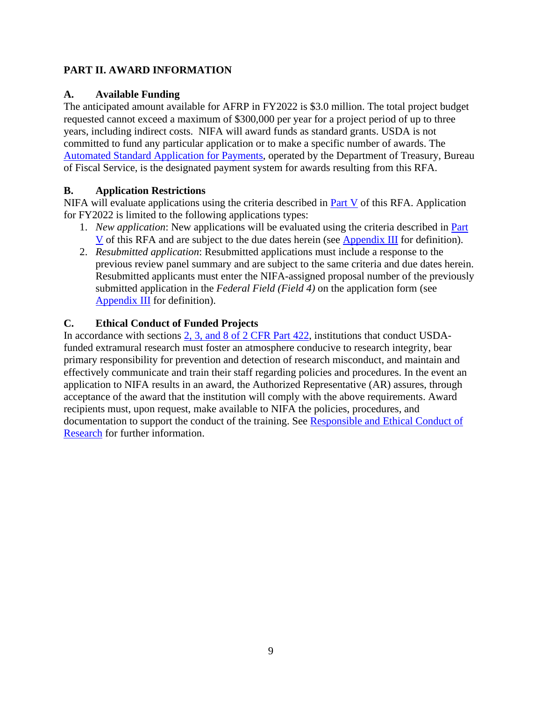#### **PART II. AWARD INFORMATION**

#### <span id="page-8-0"></span>**A. Available Funding**

The anticipated amount available for AFRP in FY2022 is \$3.0 million. The total project budget requested cannot exceed a maximum of \$300,000 per year for a project period of up to three years, including indirect costs. NIFA will award funds as standard grants. USDA is not committed to fund any particular application or to make a specific number of awards. The [Automated Standard Application for Payments,](https://www.fiscal.treasury.gov/fsservices/gov/pmt/asap/asap_home.htm) operated by the Department of Treasury, Bureau of Fiscal Service, is the designated payment system for awards resulting from this RFA.

#### <span id="page-8-1"></span>**B. Application Restrictions**

NIFA will evaluate applications using the criteria described in [Part V](#page-15-0) of this RFA. Application for FY2022 is limited to the following applications types:

- 1. *New application*: New applications will be evaluated using the criteria described in [Part](#page-15-0)  [V](#page-15-0) of this RFA and are subject to the due dates herein (see [Appendix III](#page-22-0) for definition).
- 2. *Resubmitted application*: Resubmitted applications must include a response to the previous review panel summary and are subject to the same criteria and due dates herein. Resubmitted applicants must enter the NIFA-assigned proposal number of the previously submitted application in the *Federal Field (Field 4)* on the application form (see [Appendix III](#page-22-0) for definition).

#### <span id="page-8-2"></span>**C. Ethical Conduct of Funded Projects**

In accordance with sections [2, 3, and 8 of 2 CFR Part 422,](https://www.ecfr.gov/cgi-bin/text-idx?SID=3f96ab05cf1fc2d2713e5e46755e7696&mc=true&node=pt2.1.422&rgn=div5#se2.1.422_12) institutions that conduct USDAfunded extramural research must foster an atmosphere conducive to research integrity, bear primary responsibility for prevention and detection of research misconduct, and maintain and effectively communicate and train their staff regarding policies and procedures. In the event an application to NIFA results in an award, the Authorized Representative (AR) assures, through acceptance of the award that the institution will comply with the above requirements. Award recipients must, upon request, make available to NIFA the policies, procedures, and documentation to support the conduct of the training. See [Responsible and Ethical Conduct of](https://nifa.usda.gov/responsible-and-ethical-conduct-research)  [Research](https://nifa.usda.gov/responsible-and-ethical-conduct-research) for further information.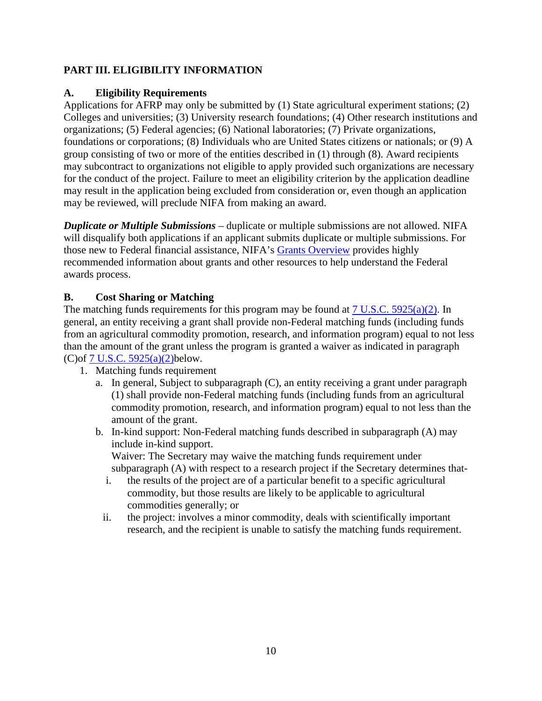## <span id="page-9-0"></span>**PART III. ELIGIBILITY INFORMATION**

#### <span id="page-9-1"></span>**A. Eligibility Requirements**

Applications for AFRP may only be submitted by (1) State agricultural experiment stations; (2) Colleges and universities; (3) University research foundations; (4) Other research institutions and organizations; (5) Federal agencies; (6) National laboratories; (7) Private organizations, foundations or corporations; (8) Individuals who are United States citizens or nationals; or (9) A group consisting of two or more of the entities described in (1) through (8). Award recipients may subcontract to organizations not eligible to apply provided such organizations are necessary for the conduct of the project. Failure to meet an eligibility criterion by the application deadline may result in the application being excluded from consideration or, even though an application may be reviewed, will preclude NIFA from making an award.

*Duplicate or Multiple Submissions* – duplicate or multiple submissions are not allowed. NIFA will disqualify both applications if an applicant submits duplicate or multiple submissions. For those new to Federal financial assistance, NIFA's [Grants Overview](https://nifa.usda.gov/resource/grants-overview) provides highly recommended information about grants and other resources to help understand the Federal awards process.

#### <span id="page-9-2"></span>**B. Cost Sharing or Matching**

The matching funds requirements for this program may be found at [7 U.S.C. 5925\(a\)\(2\).](https://uscode.house.gov/view.xhtml?req=(title:7%20section:5925%20edition:prelim)%20OR%20(granuleid:USC-prelim-title7-section5925)&f=treesort&edition=prelim&num=0&jumpTo=true) In general, an entity receiving a grant shall provide non-Federal matching funds (including funds from an agricultural commodity promotion, research, and information program) equal to not less than the amount of the grant unless the program is granted a waiver as indicated in paragraph (C)of [7 U.S.C. 5925\(a\)\(2\)b](https://uscode.house.gov/view.xhtml?req=(title:7%20section:5925%20edition:prelim)%20OR%20(granuleid:USC-prelim-title7-section5925)&f=treesort&edition=prelim&num=0&jumpTo=true)elow.

- 1. Matching funds requirement
	- a. In general, Subject to subparagraph (C), an entity receiving a grant under paragraph (1) shall provide non-Federal matching funds (including funds from an agricultural commodity promotion, research, and information program) equal to not less than the amount of the grant.
	- b. In-kind support: Non-Federal matching funds described in subparagraph (A) may include in-kind support.

Waiver: The Secretary may waive the matching funds requirement under subparagraph (A) with respect to a research project if the Secretary determines that-

- i. the results of the project are of a particular benefit to a specific agricultural commodity, but those results are likely to be applicable to agricultural commodities generally; or
- <span id="page-9-3"></span>ii. the project: involves a minor commodity, deals with scientifically important research, and the recipient is unable to satisfy the matching funds requirement.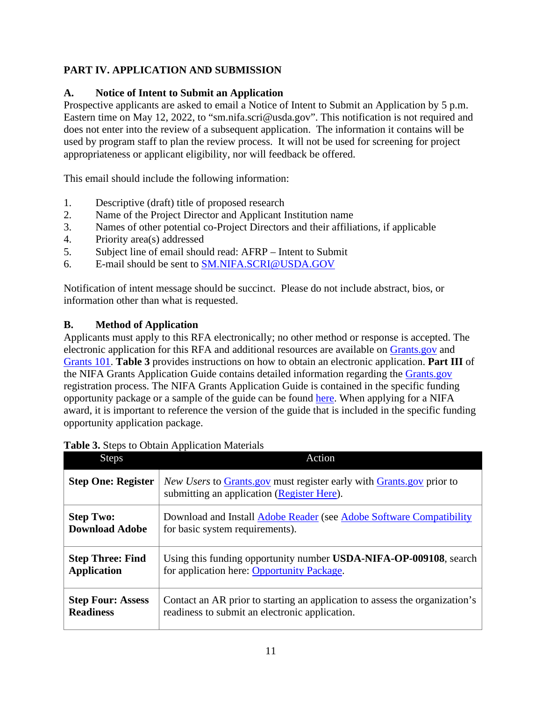# **PART IV. APPLICATION AND SUBMISSION**

### <span id="page-10-0"></span>**A. Notice of Intent to Submit an Application**

Prospective applicants are asked to email a Notice of Intent to Submit an Application by 5 p.m. Eastern time on May 12, 2022, to "sm.nifa.scri@usda.gov". This notification is not required and does not enter into the review of a subsequent application. The information it contains will be used by program staff to plan the review process. It will not be used for screening for project appropriateness or applicant eligibility, nor will feedback be offered.

This email should include the following information:

- 1. Descriptive (draft) title of proposed research
- 2. Name of the Project Director and Applicant Institution name
- 3. Names of other potential co-Project Directors and their affiliations, if applicable
- 4. Priority area(s) addressed
- 5. Subject line of email should read: AFRP Intent to Submit
- 6. E-mail should be sent to [SM.NIFA.SCRI@USDA.GOV](mailto:SM.NIFA.SCRI@USDA.GOV)

Notification of intent message should be succinct. Please do not include abstract, bios, or information other than what is requested.

#### <span id="page-10-1"></span>**B. Method of Application**

Applicants must apply to this RFA electronically; no other method or response is accepted. The electronic application for this RFA and additional resources are available on [Grants.gov](https://www.grants.gov/) and [Grants 101.](https://www.grants.gov/web/grants/learn-grants/grants-101/pre-award-phase.html/) **Table 3** provides instructions on how to obtain an electronic application. **Part III** of the NIFA Grants Application Guide contains detailed information regarding the [Grants.gov](https://www.grants.gov/) registration process. The NIFA Grants Application Guide is contained in the specific funding opportunity package or a sample of the guide can be found [here.](https://nifa.usda.gov/resource/nifa-grantsgov-application-guide) When applying for a NIFA award, it is important to reference the version of the guide that is included in the specific funding opportunity application package.

| <b>Steps</b>              | Action                                                                                                                                      |
|---------------------------|---------------------------------------------------------------------------------------------------------------------------------------------|
| <b>Step One: Register</b> | <i>New Users</i> to <b>Grants</b> , gov must register early with <b>Grants</b> , gov prior to<br>submitting an application (Register Here). |
| <b>Step Two:</b>          | Download and Install Adobe Reader (see Adobe Software Compatibility                                                                         |
| <b>Download Adobe</b>     | for basic system requirements).                                                                                                             |
| <b>Step Three: Find</b>   | Using this funding opportunity number USDA-NIFA-OP-009108, search                                                                           |
| <b>Application</b>        | for application here: Opportunity Package.                                                                                                  |
| <b>Step Four: Assess</b>  | Contact an AR prior to starting an application to assess the organization's                                                                 |
| <b>Readiness</b>          | readiness to submit an electronic application.                                                                                              |

#### <span id="page-10-2"></span>**Table 3.** Steps to Obtain Application Materials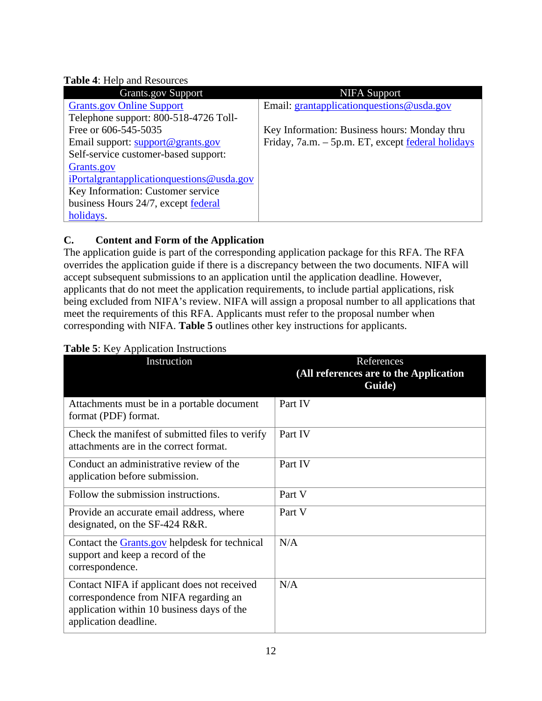#### <span id="page-11-1"></span>**Table 4**: Help and Resources

| <b>Grants.gov Support</b>                    | <b>NIFA Support</b>                                      |
|----------------------------------------------|----------------------------------------------------------|
| <b>Grants.gov Online Support</b>             | Email: grantapplicationquestions@usda.gov                |
| Telephone support: 800-518-4726 Toll-        |                                                          |
| Free or 606-545-5035                         | Key Information: Business hours: Monday thru             |
| Email support: support@grants.gov            | Friday, 7a.m. – 5p.m. ET, except <u>federal holidays</u> |
| Self-service customer-based support:         |                                                          |
| Grants.gov                                   |                                                          |
| iPortalgrantapplication questions @ usda.gov |                                                          |
| Key Information: Customer service            |                                                          |
| business Hours 24/7, except federal          |                                                          |
| holidays.                                    |                                                          |

# <span id="page-11-0"></span>**C. Content and Form of the Application**

The application guide is part of the corresponding application package for this RFA. The RFA overrides the application guide if there is a discrepancy between the two documents. NIFA will accept subsequent submissions to an application until the application deadline. However, applicants that do not meet the application requirements, to include partial applications, risk being excluded from NIFA's review. NIFA will assign a proposal number to all applications that meet the requirements of this RFA. Applicants must refer to the proposal number when corresponding with NIFA. **Table 5** outlines other key instructions for applicants.

| Instruction                                                                                                                                                 | References<br>(All references are to the Application<br>Guide) |
|-------------------------------------------------------------------------------------------------------------------------------------------------------------|----------------------------------------------------------------|
| Attachments must be in a portable document<br>format (PDF) format.                                                                                          | Part IV                                                        |
| Check the manifest of submitted files to verify<br>attachments are in the correct format.                                                                   | Part IV                                                        |
| Conduct an administrative review of the<br>application before submission.                                                                                   | Part IV                                                        |
| Follow the submission instructions.                                                                                                                         | Part V                                                         |
| Provide an accurate email address, where<br>designated, on the SF-424 R&R.                                                                                  | Part V                                                         |
| Contact the <b>Grants</b> gov helpdesk for technical<br>support and keep a record of the<br>correspondence.                                                 | N/A                                                            |
| Contact NIFA if applicant does not received<br>correspondence from NIFA regarding an<br>application within 10 business days of the<br>application deadline. | N/A                                                            |

#### <span id="page-11-2"></span>**Table 5**: Key Application Instructions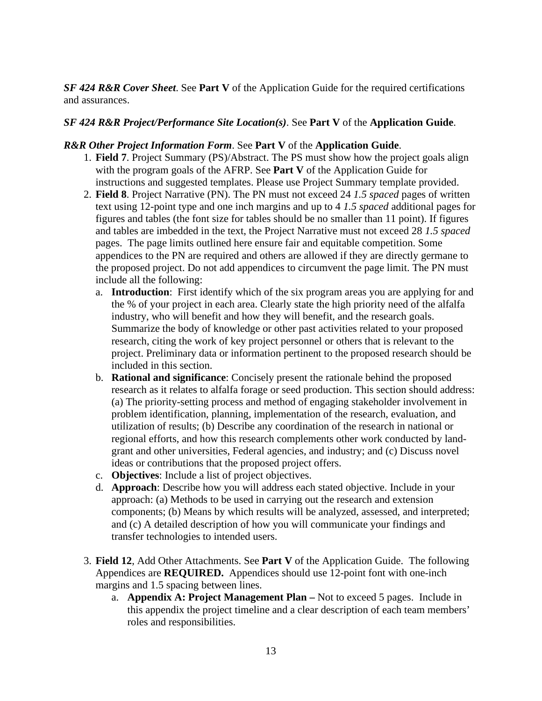*SF 424 R&R Cover Sheet*. See **Part V** of the Application Guide for the required certifications and assurances.

#### *SF 424 R&R Project/Performance Site Location(s)*. See **Part V** of the **Application Guide**.

#### *R&R Other Project Information Form*. See **Part V** of the **Application Guide**.

- 1. **Field 7**. Project Summary (PS)/Abstract. The PS must show how the project goals align with the program goals of the AFRP. See **Part V** of the Application Guide for instructions and suggested templates. Please use Project Summary template provided.
- 2. **Field 8**. Project Narrative (PN). The PN must not exceed 24 *1.5 spaced* pages of written text using 12-point type and one inch margins and up to 4 *1.5 spaced* additional pages for figures and tables (the font size for tables should be no smaller than 11 point). If figures and tables are imbedded in the text, the Project Narrative must not exceed 28 *1.5 spaced* pages. The page limits outlined here ensure fair and equitable competition. Some appendices to the PN are required and others are allowed if they are directly germane to the proposed project. Do not add appendices to circumvent the page limit. The PN must include all the following:
	- a. **Introduction**: First identify which of the six program areas you are applying for and the % of your project in each area. Clearly state the high priority need of the alfalfa industry, who will benefit and how they will benefit, and the research goals. Summarize the body of knowledge or other past activities related to your proposed research, citing the work of key project personnel or others that is relevant to the project. Preliminary data or information pertinent to the proposed research should be included in this section.
	- b. **Rational and significance**: Concisely present the rationale behind the proposed research as it relates to alfalfa forage or seed production. This section should address: (a) The priority-setting process and method of engaging stakeholder involvement in problem identification, planning, implementation of the research, evaluation, and utilization of results; (b) Describe any coordination of the research in national or regional efforts, and how this research complements other work conducted by landgrant and other universities, Federal agencies, and industry; and (c) Discuss novel ideas or contributions that the proposed project offers.
	- c. **Objectives**: Include a list of project objectives.
	- d. **Approach**: Describe how you will address each stated objective. Include in your approach: (a) Methods to be used in carrying out the research and extension components; (b) Means by which results will be analyzed, assessed, and interpreted; and (c) A detailed description of how you will communicate your findings and transfer technologies to intended users.
- 3. **Field 12**, Add Other Attachments. See **Part V** of the Application Guide. The following Appendices are **REQUIRED.** Appendices should use 12-point font with one-inch margins and 1.5 spacing between lines.
	- a. **Appendix A: Project Management Plan –** Not to exceed 5 pages. Include in this appendix the project timeline and a clear description of each team members' roles and responsibilities.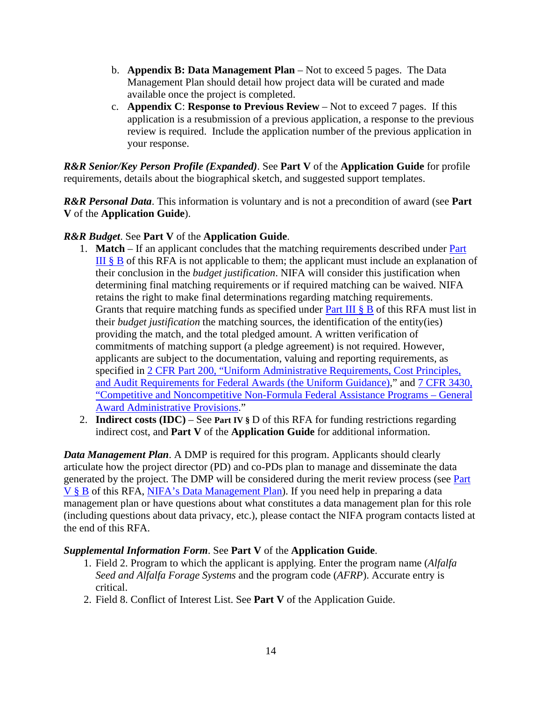- b. **Appendix B: Data Management Plan**  Not to exceed 5 pages. The Data Management Plan should detail how project data will be curated and made available once the project is completed.
- c. **Appendix C**: **Response to Previous Review** Not to exceed 7 pages. If this application is a resubmission of a previous application, a response to the previous review is required. Include the application number of the previous application in your response.

*R&R Senior/Key Person Profile (Expanded)*. See **Part V** of the **Application Guide** for profile requirements, details about the biographical sketch, and suggested support templates.

*R&R Personal Data*. This information is voluntary and is not a precondition of award (see **Part V** of the **Application Guide**).

#### *R&R Budget*. See **Part V** of the **Application Guide**.

- 1. **Match** If an applicant concludes that the matching requirements described under [Part](#page-9-2)  [III § B](#page-9-2) of this RFA is not applicable to them; the applicant must include an explanation of their conclusion in the *budget justification*. NIFA will consider this justification when determining final matching requirements or if required matching can be waived. NIFA retains the right to make final determinations regarding matching requirements. Grants that require matching funds as specified under [Part III § B](#page-9-2) of this RFA must list in their *budget justification* the matching sources, the identification of the entity(ies) providing the match, and the total pledged amount. A written verification of commitments of matching support (a pledge agreement) is not required. However, applicants are subject to the documentation, valuing and reporting requirements, as specified in [2 CFR Part 200, "Uniform Administrative Requirements, Cost Principles,](https://www.ecfr.gov/cgi-bin/text-idx?SID=39448527cdd5ebd0a063b91b8b44f0f5&mc=true&node=pt2.1.200&rgn=div5)  [and Audit Requirements for Federal Awards \(the Uniform Guidance\),](https://www.ecfr.gov/cgi-bin/text-idx?SID=39448527cdd5ebd0a063b91b8b44f0f5&mc=true&node=pt2.1.200&rgn=div5)" and [7 CFR 3430,](https://www.ecfr.gov/cgi-bin/text-idx?SID=1a74011311d649ff6313ca273791b131&mc=true&node=pt7.15.3430&rgn=div5)  ["Competitive and Noncompetitive Non-Formula Federal Assistance Programs – General](https://www.ecfr.gov/cgi-bin/text-idx?SID=1a74011311d649ff6313ca273791b131&mc=true&node=pt7.15.3430&rgn=div5)  [Award Administrative Provisions.](https://www.ecfr.gov/cgi-bin/text-idx?SID=1a74011311d649ff6313ca273791b131&mc=true&node=pt7.15.3430&rgn=div5)"
- 2. **Indirect costs (IDC)** See **Part IV §** D of this RFA for funding restrictions regarding indirect cost, and **Part V** of the **Application Guide** for additional information.

*Data Management Plan*. A DMP is required for this program. Applicants should clearly articulate how the project director (PD) and co-PDs plan to manage and disseminate the data generated by the project. The DMP will be considered during the merit review process (see [Part](#page-15-2)  [V § B](#page-15-2) of this RFA, [NIFA's Data Management Plan\)](https://nifa.usda.gov/resource/data-management-plan-nifa-funded-research-projects). If you need help in preparing a data management plan or have questions about what constitutes a data management plan for this role (including questions about data privacy, etc.), please contact the NIFA program contacts listed at the end of this RFA.

#### *Supplemental Information Form*. See **Part V** of the **Application Guide**.

- 1. Field 2. Program to which the applicant is applying. Enter the program name (*Alfalfa Seed and Alfalfa Forage Systems* and the program code (*AFRP*). Accurate entry is critical.
- 2. Field 8. Conflict of Interest List. See **Part V** of the Application Guide.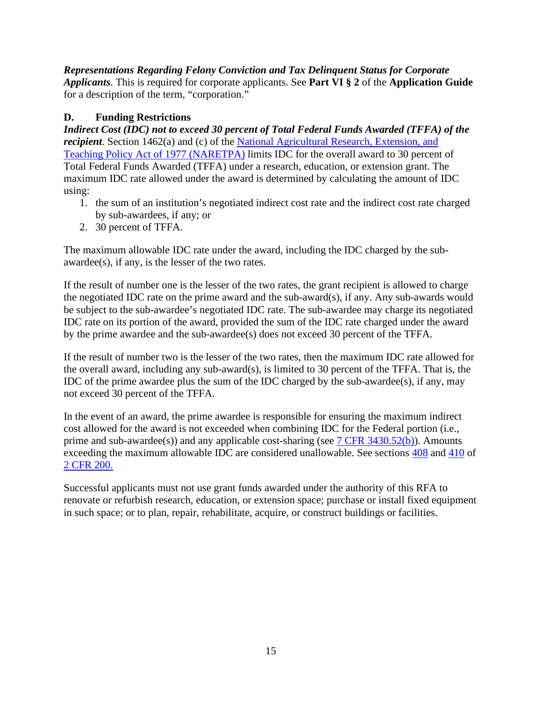*Representations Regarding Felony Conviction and Tax Delinquent Status for Corporate Applicants*. This is required for corporate applicants. See **Part VI § 2** of the **Application Guide** for a description of the term, "corporation."

# <span id="page-14-0"></span>**D. Funding Restrictions**

*Indirect Cost (IDC) not to exceed 30 percent of Total Federal Funds Awarded (TFFA) of the recipient*. Section 1462(a) and (c) of the National Agricultural Research, Extension, and [Teaching Policy Act of 1977 \(NARETPA\)](https://nifa.usda.gov/sites/default/files/resource/nar77.pdf) limits IDC for the overall award to 30 percent of Total Federal Funds Awarded (TFFA) under a research, education, or extension grant. The maximum IDC rate allowed under the award is determined by calculating the amount of IDC using:

- 1. the sum of an institution's negotiated indirect cost rate and the indirect cost rate charged by sub-awardees, if any; or
- 2. 30 percent of TFFA.

The maximum allowable IDC rate under the award, including the IDC charged by the subawardee(s), if any, is the lesser of the two rates.

If the result of number one is the lesser of the two rates, the grant recipient is allowed to charge the negotiated IDC rate on the prime award and the sub-award(s), if any. Any sub-awards would be subject to the sub-awardee's negotiated IDC rate. The sub-awardee may charge its negotiated IDC rate on its portion of the award, provided the sum of the IDC rate charged under the award by the prime awardee and the sub-awardee(s) does not exceed 30 percent of the TFFA.

If the result of number two is the lesser of the two rates, then the maximum IDC rate allowed for the overall award, including any sub-award(s), is limited to 30 percent of the TFFA. That is, the IDC of the prime awardee plus the sum of the IDC charged by the sub-awardee(s), if any, may not exceed 30 percent of the TFFA.

In the event of an award, the prime awardee is responsible for ensuring the maximum indirect cost allowed for the award is not exceeded when combining IDC for the Federal portion (i.e., prime and sub-awardee(s)) and any applicable cost-sharing (see [7 CFR 3430.52\(b\)\)](https://www.ecfr.gov/cgi-bin/text-idx?SID=a9b07f3b96328c9f57365947eaab4a9f&mc=true&node=pt7.15.3430&rgn=div5#se7.15.3430_152). Amounts exceeding the maximum allowable IDC are considered unallowable. See sections [408](https://www.ecfr.gov/cgi-bin/text-idx?SID=99b0d2f1cf782a71783f992ece47bb5a&mc=true&node=pt2.1.200&rgn=div5#se2.1.200_1408) and [410](https://www.ecfr.gov/cgi-bin/text-idx?SID=99b0d2f1cf782a71783f992ece47bb5a&mc=true&node=pt2.1.200&rgn=div5#se2.1.200_1410) of [2 CFR 200.](https://www.ecfr.gov/cgi-bin/text-idx?SID=99b0d2f1cf782a71783f992ece47bb5a&mc=true&node=pt2.1.200&rgn=div5) 

Successful applicants must not use grant funds awarded under the authority of this RFA to renovate or refurbish research, education, or extension space; purchase or install fixed equipment in such space; or to plan, repair, rehabilitate, acquire, or construct buildings or facilities.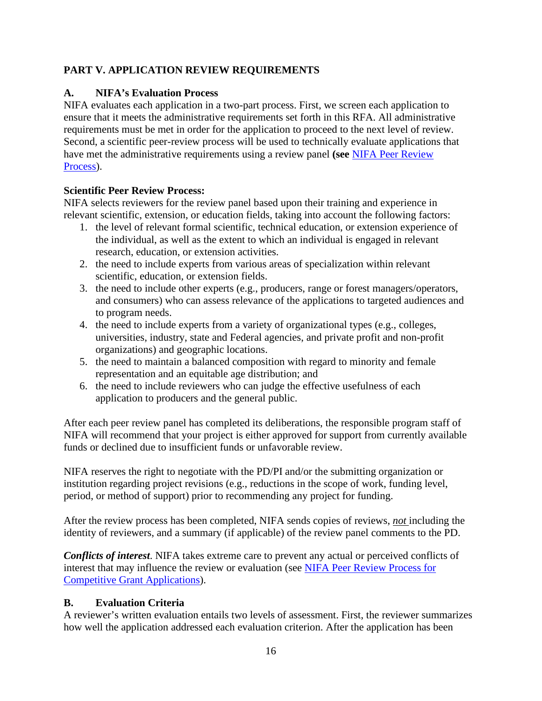## <span id="page-15-0"></span>**PART V. APPLICATION REVIEW REQUIREMENTS**

## <span id="page-15-1"></span>**A. NIFA's Evaluation Process**

NIFA evaluates each application in a two-part process. First, we screen each application to ensure that it meets the administrative requirements set forth in this RFA. All administrative requirements must be met in order for the application to proceed to the next level of review. Second, a scientific peer-review process will be used to technically evaluate applications that have met the administrative requirements using a review panel **(see** [NIFA Peer Review](https://nifa.usda.gov/sites/default/files/resource/NIFA-Peer-Review-Process-for-Competitive-Grant-Applications_0.pdf)  [Process\)](https://nifa.usda.gov/sites/default/files/resource/NIFA-Peer-Review-Process-for-Competitive-Grant-Applications_0.pdf).

#### **Scientific Peer Review Process:**

NIFA selects reviewers for the review panel based upon their training and experience in relevant scientific, extension, or education fields, taking into account the following factors:

- 1. the level of relevant formal scientific, technical education, or extension experience of the individual, as well as the extent to which an individual is engaged in relevant research, education, or extension activities.
- 2. the need to include experts from various areas of specialization within relevant scientific, education, or extension fields.
- 3. the need to include other experts (e.g., producers, range or forest managers/operators, and consumers) who can assess relevance of the applications to targeted audiences and to program needs.
- 4. the need to include experts from a variety of organizational types (e.g., colleges, universities, industry, state and Federal agencies, and private profit and non-profit organizations) and geographic locations.
- 5. the need to maintain a balanced composition with regard to minority and female representation and an equitable age distribution; and
- 6. the need to include reviewers who can judge the effective usefulness of each application to producers and the general public.

After each peer review panel has completed its deliberations, the responsible program staff of NIFA will recommend that your project is either approved for support from currently available funds or declined due to insufficient funds or unfavorable review.

NIFA reserves the right to negotiate with the PD/PI and/or the submitting organization or institution regarding project revisions (e.g., reductions in the scope of work, funding level, period, or method of support) prior to recommending any project for funding.

After the review process has been completed, NIFA sends copies of reviews, *not* including the identity of reviewers, and a summary (if applicable) of the review panel comments to the PD.

*Conflicts of interest*. NIFA takes extreme care to prevent any actual or perceived conflicts of interest that may influence the review or evaluation (see [NIFA Peer Review Process for](https://nifa.usda.gov/resource/nifa-peer-review-process-competitive-grant-applications)  [Competitive Grant Applications\)](https://nifa.usda.gov/resource/nifa-peer-review-process-competitive-grant-applications).

#### <span id="page-15-2"></span>**B. Evaluation Criteria**

A reviewer's written evaluation entails two levels of assessment. First, the reviewer summarizes how well the application addressed each evaluation criterion. After the application has been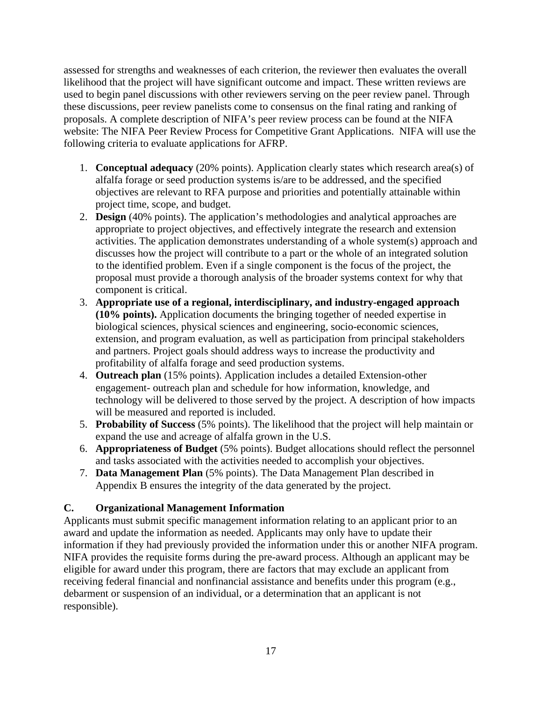assessed for strengths and weaknesses of each criterion, the reviewer then evaluates the overall likelihood that the project will have significant outcome and impact. These written reviews are used to begin panel discussions with other reviewers serving on the peer review panel. Through these discussions, peer review panelists come to consensus on the final rating and ranking of proposals. A complete description of NIFA's peer review process can be found at the NIFA website: The NIFA Peer Review Process for Competitive Grant Applications. NIFA will use the following criteria to evaluate applications for AFRP.

- 1. **Conceptual adequacy** (20% points). Application clearly states which research area(s) of alfalfa forage or seed production systems is/are to be addressed, and the specified objectives are relevant to RFA purpose and priorities and potentially attainable within project time, scope, and budget.
- 2. **Design** (40% points). The application's methodologies and analytical approaches are appropriate to project objectives, and effectively integrate the research and extension activities. The application demonstrates understanding of a whole system(s) approach and discusses how the project will contribute to a part or the whole of an integrated solution to the identified problem. Even if a single component is the focus of the project, the proposal must provide a thorough analysis of the broader systems context for why that component is critical.
- 3. **Appropriate use of a regional, interdisciplinary, and industry-engaged approach (10% points).** Application documents the bringing together of needed expertise in biological sciences, physical sciences and engineering, socio-economic sciences, extension, and program evaluation, as well as participation from principal stakeholders and partners. Project goals should address ways to increase the productivity and profitability of alfalfa forage and seed production systems.
- 4. **Outreach plan** (15% points). Application includes a detailed Extension-other engagement- outreach plan and schedule for how information, knowledge, and technology will be delivered to those served by the project. A description of how impacts will be measured and reported is included.
- 5. **Probability of Success** (5% points). The likelihood that the project will help maintain or expand the use and acreage of alfalfa grown in the U.S.
- 6. **Appropriateness of Budget** (5% points). Budget allocations should reflect the personnel and tasks associated with the activities needed to accomplish your objectives.
- 7. **Data Management Plan** (5% points). The Data Management Plan described in Appendix B ensures the integrity of the data generated by the project.

## <span id="page-16-0"></span>**C. Organizational Management Information**

Applicants must submit specific management information relating to an applicant prior to an award and update the information as needed. Applicants may only have to update their information if they had previously provided the information under this or another NIFA program. NIFA provides the requisite forms during the pre-award process. Although an applicant may be eligible for award under this program, there are factors that may exclude an applicant from receiving federal financial and nonfinancial assistance and benefits under this program (e.g., debarment or suspension of an individual, or a determination that an applicant is not responsible).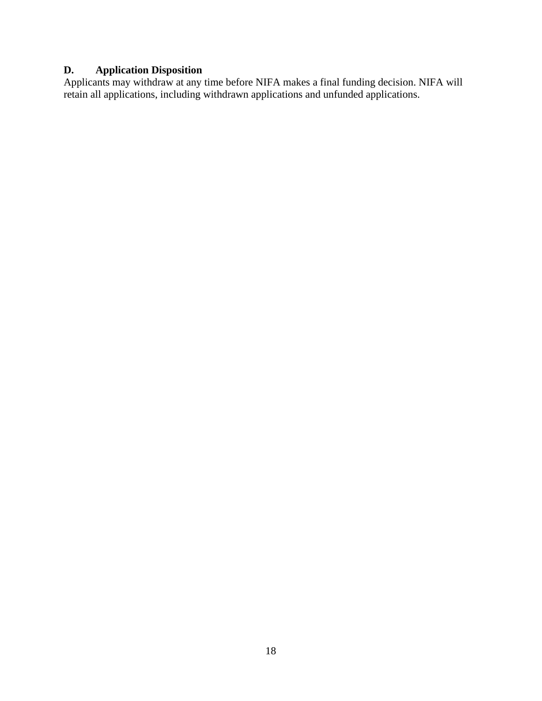# <span id="page-17-0"></span>**D. Application Disposition**

Applicants may withdraw at any time before NIFA makes a final funding decision. NIFA will retain all applications, including withdrawn applications and unfunded applications.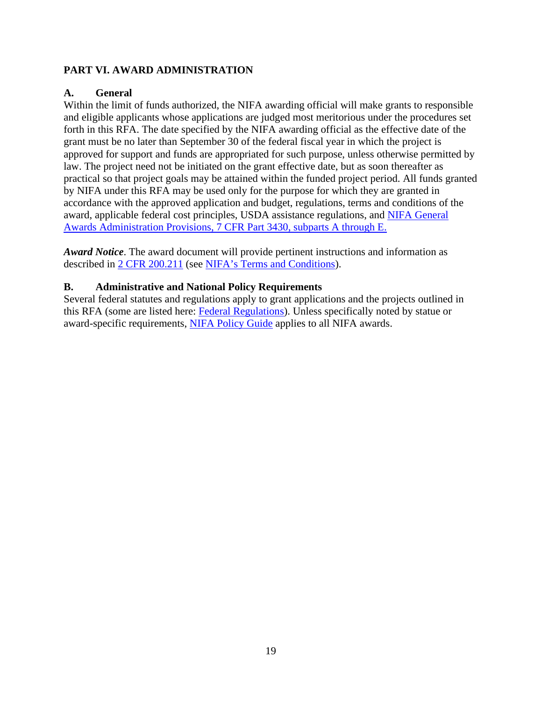#### <span id="page-18-0"></span>**PART VI. AWARD ADMINISTRATION**

#### <span id="page-18-1"></span>**A. General**

Within the limit of funds authorized, the NIFA awarding official will make grants to responsible and eligible applicants whose applications are judged most meritorious under the procedures set forth in this RFA. The date specified by the NIFA awarding official as the effective date of the grant must be no later than September 30 of the federal fiscal year in which the project is approved for support and funds are appropriated for such purpose, unless otherwise permitted by law. The project need not be initiated on the grant effective date, but as soon thereafter as practical so that project goals may be attained within the funded project period. All funds granted by NIFA under this RFA may be used only for the purpose for which they are granted in accordance with the approved application and budget, regulations, terms and conditions of the award, applicable federal cost principles, USDA assistance regulations, and [NIFA General](https://www.ecfr.gov/cgi-bin/text-idx?SID=1a74011311d649ff6313ca273791b131&mc=true&node=pt7.15.3430&rgn=div5)  [Awards Administration Provisions, 7 CFR Part 3430, subparts A through E.](https://www.ecfr.gov/cgi-bin/text-idx?SID=1a74011311d649ff6313ca273791b131&mc=true&node=pt7.15.3430&rgn=div5)

*Award Notice*. The award document will provide pertinent instructions and information as described in [2 CFR 200.211](https://www.ecfr.gov/cgi-bin/retrieveECFR?gp=&SID=c44a1f8f16917d78ba5ba676eac5fdc3&mc=true&r=SECTION&n=se2.1.200_1211) (see [NIFA's Terms and Conditions\)](https://nifa.usda.gov/terms-and-conditions).

#### <span id="page-18-2"></span>**B. Administrative and National Policy Requirements**

<span id="page-18-3"></span>Several federal statutes and regulations apply to grant applications and the projects outlined in this RFA (some are listed here: [Federal Regulations\)](https://nifa.usda.gov/federal-regulations). Unless specifically noted by statue or award-specific requirements, [NIFA Policy Guide](https://nifa.usda.gov/policy-guide) applies to all NIFA awards.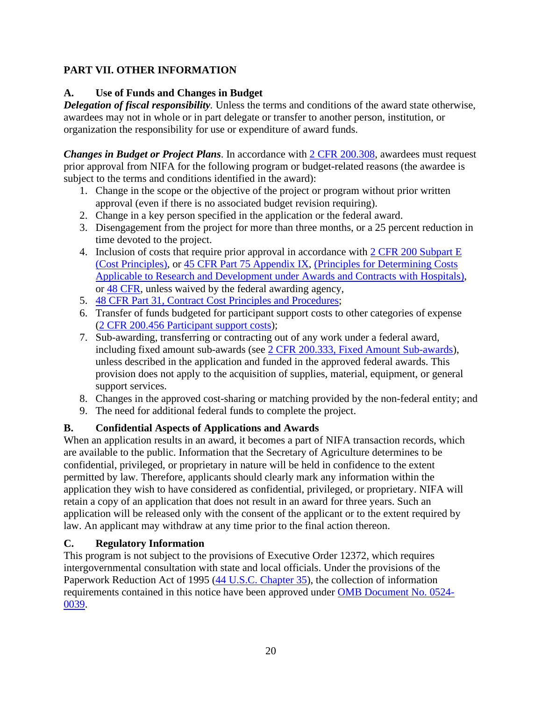## **PART VII. OTHER INFORMATION**

### <span id="page-19-0"></span>**A. Use of Funds and Changes in Budget**

*Delegation of fiscal responsibility.* Unless the terms and conditions of the award state otherwise, awardees may not in whole or in part delegate or transfer to another person, institution, or organization the responsibility for use or expenditure of award funds.

*Changes in Budget or Project Plans.* In accordance with  $2$  CFR 200.308, awardees must request prior approval from NIFA for the following program or budget-related reasons (the awardee is subject to the terms and conditions identified in the award):

- 1. Change in the scope or the objective of the project or program without prior written approval (even if there is no associated budget revision requiring).
- 2. Change in a key person specified in the application or the federal award.
- 3. Disengagement from the project for more than three months, or a 25 percent reduction in time devoted to the project.
- 4. Inclusion of costs that require prior approval in accordance with  $2 \text{ CFR } 200 \text{ Subpart E}$ [\(Cost Principles\),](https://www.ecfr.gov/cgi-bin/text-idx?SID=dc069d42776cd3451f66232d56026057&mc=true&node=pt2.1.200&rgn=div5#sp2.1.200.e) or [45 CFR Part 75 Appendix IX,](https://www.ecfr.gov/cgi-bin/text-idx?node=pt45.1.75#ap45.1.75_1521.ix) [\(Principles for Determining Costs](https://www.ecfr.gov/cgi-bin/text-idx?node=pt45.1.75#ap45.1.75_1521.ix)  [Applicable to Research and Development under Awards and Contracts with Hospitals\)](https://www.ecfr.gov/cgi-bin/text-idx?node=pt45.1.75#ap45.1.75_1521.ix), or [48 CFR,](https://www.ecfr.gov/cgi-bin/text-idx?SID=4d9d83a5cef52c19c5ff83421fa48a4b&mc=true&tpl=/ecfrbrowse/Title48/48tab_02.tpl) unless waived by the federal awarding agency,
- 5. [48 CFR Part 31, Contract Cost Principles and Procedures;](https://www.ecfr.gov/cgi-bin/text-idx?SID=4d9d83a5cef52c19c5ff83421fa48a4b&mc=true&node=pt48.1.31&rgn=div5)
- 6. Transfer of funds budgeted for participant support costs to other categories of expense [\(2 CFR 200.456 Participant support costs\)](https://www.ecfr.gov/cgi-bin/text-idx?SID=875f7422535a157681c65d5ff44deb32&mc=true&node=pt2.1.200&rgn=div5#se2.1.200_1456);
- 7. Sub-awarding, transferring or contracting out of any work under a federal award, including fixed amount sub-awards (see [2 CFR 200.333, Fixed Amount Sub-awards\)](https://www.ecfr.gov/cgi-bin/text-idx?SID=9eaf9554e1f32bf0d83aca55646e9b7e&mc=true&node=pt2.1.200&rgn=div5#se2.1.200_1333), unless described in the application and funded in the approved federal awards. This provision does not apply to the acquisition of supplies, material, equipment, or general support services.
- 8. Changes in the approved cost-sharing or matching provided by the non-federal entity; and
- 9. The need for additional federal funds to complete the project.

## <span id="page-19-1"></span>**B. Confidential Aspects of Applications and Awards**

When an application results in an award, it becomes a part of NIFA transaction records, which are available to the public. Information that the Secretary of Agriculture determines to be confidential, privileged, or proprietary in nature will be held in confidence to the extent permitted by law. Therefore, applicants should clearly mark any information within the application they wish to have considered as confidential, privileged, or proprietary. NIFA will retain a copy of an application that does not result in an award for three years. Such an application will be released only with the consent of the applicant or to the extent required by law. An applicant may withdraw at any time prior to the final action thereon.

## <span id="page-19-2"></span>**C. Regulatory Information**

This program is not subject to the provisions of [Executive Order 12372,](https://www.fws.gov/policy/library/rgeo12372.pdf) which requires intergovernmental consultation with state and local officials. Under the provisions of the [Paperwork Reduction Act of 1995](https://www.reginfo.gov/public/reginfo/pra.pdf) [\(44 U.S.C. Chapter 35\)](http://uscode.house.gov/view.xhtml?path=/prelim@title44/chapter35&edition=prelim), the collection of information requirements contained in this notice have been approved under [OMB Document No. 0524-](https://www.federalregister.gov/documents/2018/10/29/2018-23552/submission-for-omb-review-comment-request) [0039.](https://www.federalregister.gov/documents/2018/10/29/2018-23552/submission-for-omb-review-comment-request)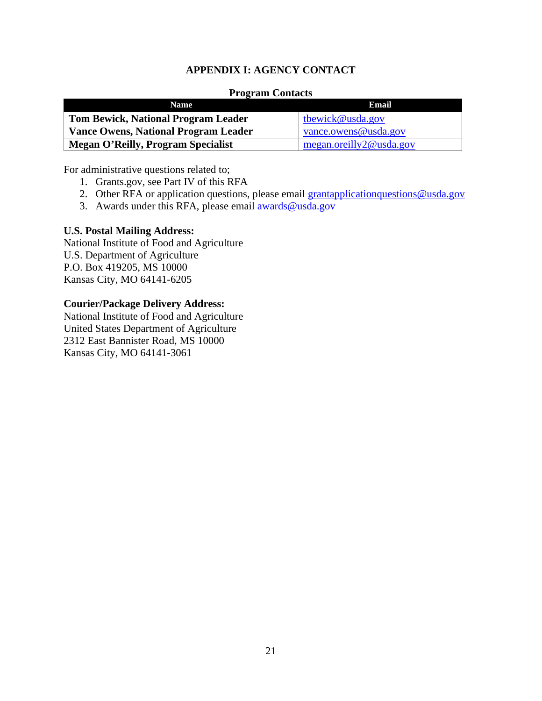#### **APPENDIX I: AGENCY CONTACT**

#### **Program Contacts**

<span id="page-20-0"></span>

| <b>Name</b>                                 | Email                    |
|---------------------------------------------|--------------------------|
| <b>Tom Bewick, National Program Leader</b>  | tbewick@usda.gov         |
| <b>Vance Owens, National Program Leader</b> | vance.owens@usda.gov     |
| <b>Megan O'Reilly, Program Specialist</b>   | megan. oreilly2@usda.gov |

For administrative questions related to;

- 1. Grants.gov, see Part IV of this RFA
- 2. Other RFA or application questions, please email [grantapplicationquestions@usda.gov](mailto:grantapplicationquestions@usda.gov)
- 3. Awards under this RFA, please email [awards@usda.gov](mailto:awards@usda.gov)

#### **U.S. Postal Mailing Address:**

National Institute of Food and Agriculture U.S. Department of Agriculture P.O. Box 419205, MS 10000 Kansas City, MO 64141-6205

#### **Courier/Package Delivery Address:**

National Institute of Food and Agriculture United States Department of Agriculture 2312 East Bannister Road, MS 10000 Kansas City, MO 64141-3061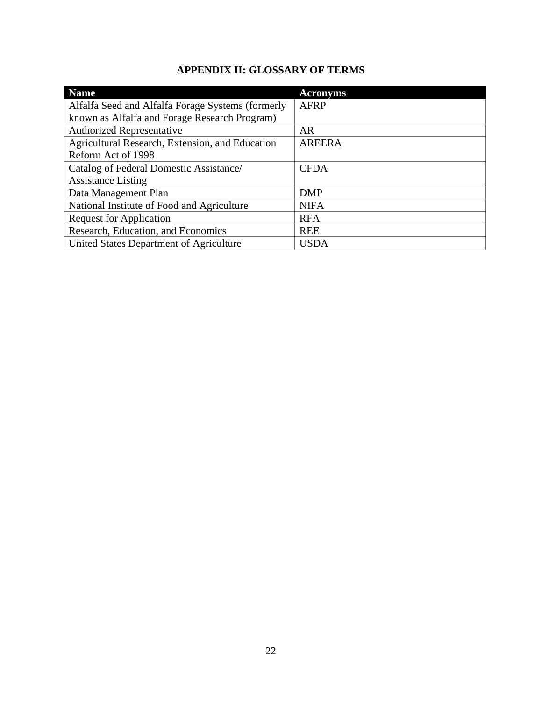# **APPENDIX II: GLOSSARY OF TERMS**

<span id="page-21-0"></span>

| <b>Name</b>                                       | <b>Acronyms</b> |
|---------------------------------------------------|-----------------|
| Alfalfa Seed and Alfalfa Forage Systems (formerly | <b>AFRP</b>     |
| known as Alfalfa and Forage Research Program)     |                 |
| <b>Authorized Representative</b>                  | <b>AR</b>       |
| Agricultural Research, Extension, and Education   | <b>AREERA</b>   |
| Reform Act of 1998                                |                 |
| Catalog of Federal Domestic Assistance/           | <b>CFDA</b>     |
| <b>Assistance Listing</b>                         |                 |
| Data Management Plan                              | <b>DMP</b>      |
| National Institute of Food and Agriculture        | <b>NIFA</b>     |
| <b>Request for Application</b>                    | <b>RFA</b>      |
| Research, Education, and Economics                | <b>REE</b>      |
| United States Department of Agriculture           | <b>USDA</b>     |